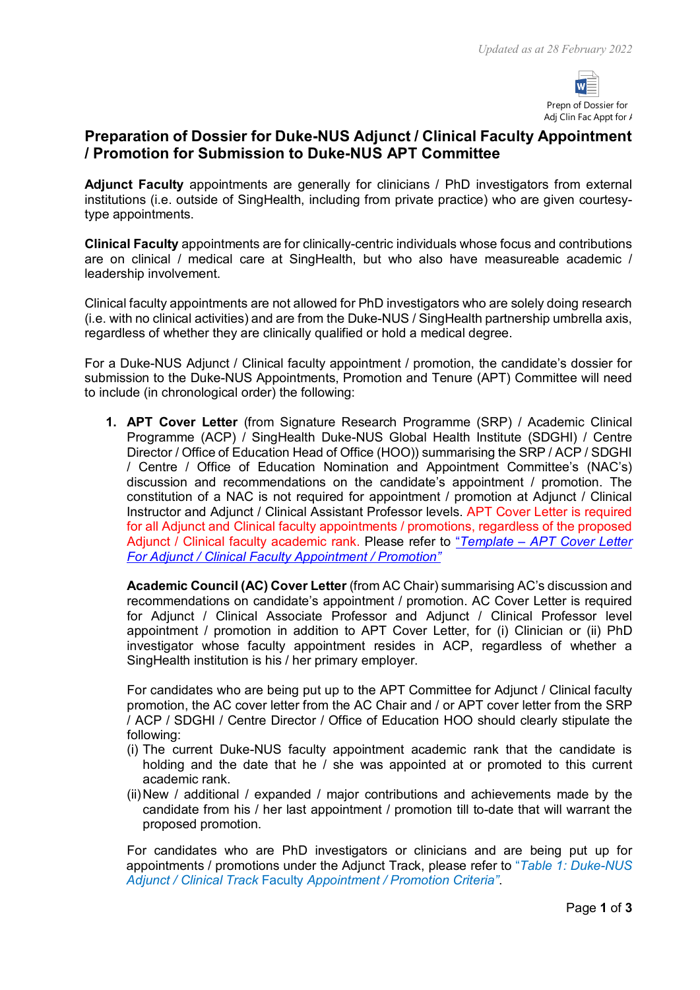

# **Preparation of Dossier for Duke-NUS Adjunct / Clinical Faculty Appointment / Promotion for Submission to Duke-NUS APT Committee**

**Adjunct Faculty** appointments are generally for clinicians / PhD investigators from external institutions (i.e. outside of SingHealth, including from private practice) who are given courtesytype appointments.

**Clinical Faculty** appointments are for clinically-centric individuals whose focus and contributions are on clinical / medical care at SingHealth, but who also have measureable academic / leadership involvement.

Clinical faculty appointments are not allowed for PhD investigators who are solely doing research (i.e. with no clinical activities) and are from the Duke-NUS / SingHealth partnership umbrella axis, regardless of whether they are clinically qualified or hold a medical degree.

For a Duke-NUS Adjunct / Clinical faculty appointment / promotion, the candidate's dossier for submission to the Duke-NUS Appointments, Promotion and Tenure (APT) Committee will need to include (in chronological order) the following:

**1. APT Cover Letter** (from Signature Research Programme (SRP) / Academic Clinical Programme (ACP) / SingHealth Duke-NUS Global Health Institute (SDGHI) / Centre Director / Office of Education Head of Office (HOO)) summarising the SRP / ACP / SDGHI / Centre / Office of Education Nomination and Appointment Committee's (NAC's) discussion and recommendations on the candidate's appointment / promotion. The constitution of a NAC is not required for appointment / promotion at Adjunct / Clinical Instructor and Adjunct / Clinical Assistant Professor levels. APT Cover Letter is required for all Adjunct and Clinical faculty appointments / promotions, regardless of the proposed Adjunct / Clinical faculty academic rank. Please refer to "*Template – [APT Cover Letter](https://www.duke-nus.edu.sg/docs/default-source/academic-medicine-docs/fdr/9-template---apt-cover-letter-for-adjunct-clinical-faculty-(1-march-2022).docx)  For Adjunct / Clinical [Faculty Appointment / Promotion"](https://www.duke-nus.edu.sg/docs/default-source/academic-medicine-docs/fdr/9-template---apt-cover-letter-for-adjunct-clinical-faculty-(1-march-2022).docx)*

**Academic Council (AC) Cover Letter** (from AC Chair) summarising AC's discussion and recommendations on candidate's appointment / promotion. AC Cover Letter is required for Adjunct / Clinical Associate Professor and Adjunct / Clinical Professor level appointment / promotion in addition to APT Cover Letter, for (i) Clinician or (ii) PhD investigator whose faculty appointment resides in ACP, regardless of whether a SingHealth institution is his / her primary employer.

For candidates who are being put up to the APT Committee for Adjunct / Clinical faculty promotion, the AC cover letter from the AC Chair and / or APT cover letter from the SRP / ACP / SDGHI / Centre Director / Office of Education HOO should clearly stipulate the following:

- (i) The current Duke-NUS faculty appointment academic rank that the candidate is holding and the date that he / she was appointed at or promoted to this current academic rank.
- (ii)New / additional / expanded / major contributions and achievements made by the candidate from his / her last appointment / promotion till to-date that will warrant the proposed promotion.

For candidates who are PhD investigators or clinicians and are being put up for appointments / promotions under the Adjunct Track, please refer to "*Table 1: Duke-NUS Adjunct / Clinical Track* Faculty *Appointment / Promotion Criteria"*.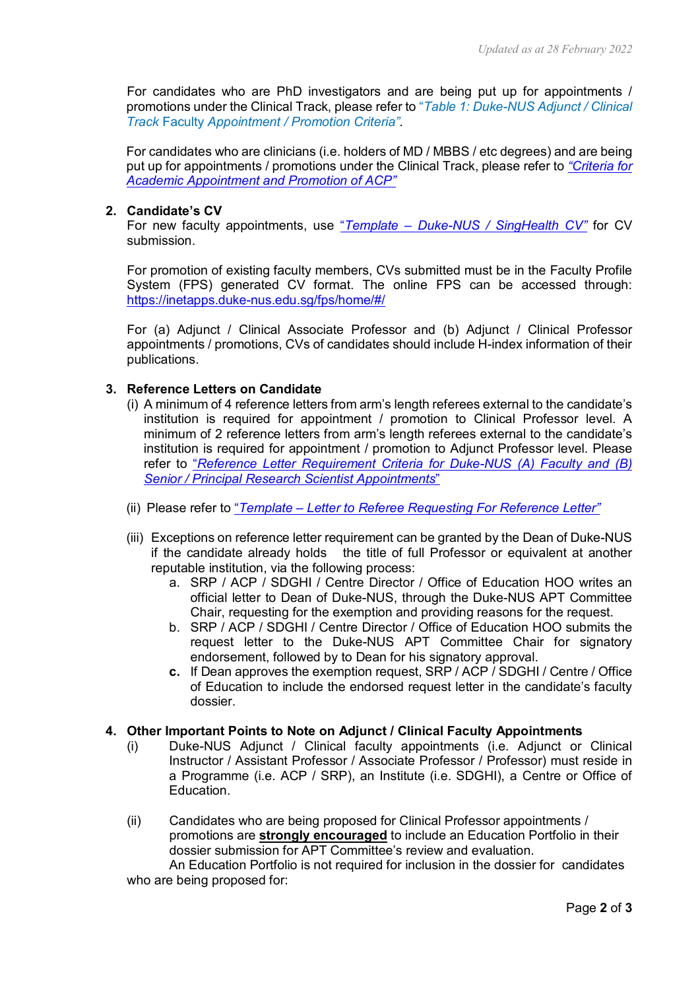For candidates who are PhD investigators and are being put up for appointments / promotions under the Clinical Track, please refer to "*Table 1: Duke-NUS Adjunct / Clinical Track* Faculty *Appointment / Promotion Criteria"*.

For candidates who are clinicians (i.e. holders of MD / MBBS / etc degrees) and are being put up for appointments / promotions under the Clinical Track, please refer to *["Criteria for](https://www.duke-nus.edu.sg/docs/default-source/academic-medicine-docs/fdr/duke-nus-apt-criteria-for-website-as-at-26-jan-2022.pdf?sfvrsn=4d768ec1_2)  [Academic Appointment and Promotion of ACP"](https://www.duke-nus.edu.sg/docs/default-source/academic-medicine-docs/fdr/duke-nus-apt-criteria-for-website-as-at-26-jan-2022.pdf?sfvrsn=4d768ec1_2)*

### **2. Candidate's CV**

For new faculty appointments, use "*Template – [Duke-NUS / SingHealth CV"](https://www.duke-nus.edu.sg/docs/default-source/academic-medicine-docs/fdr/9-duke-nus-cv-template-(1-july-2020).docx)* for CV submission.

For promotion of existing faculty members, CVs submitted must be in the Faculty Profile System (FPS) generated CV format. The online FPS can be accessed through: <https://inetapps.duke-nus.edu.sg/fps/home/#/>

For (a) Adjunct / Clinical Associate Professor and (b) Adjunct / Clinical Professor appointments / promotions, CVs of candidates should include H-index information of their publications.

### **3. Reference Letters on Candidate**

- (i) A minimum of 4 reference letters from arm's length referees external to the candidate's institution is required for appointment / promotion to Clinical Professor level. A minimum of 2 reference letters from arm's length referees external to the candidate's institution is required for appointment / promotion to Adjunct Professor level. Please refer to "*[Reference Letter Requirement Criteria for Duke-NUS \(A\) Faculty and \(B\)](https://www.duke-nus.edu.sg/docs/default-source/academic-medicine-docs/fdr/10-ref-ltr-requirment-for-duke-nus-(i)-fac-and-(ii)-prs-appts-(11-feb-2022).pdf)  Senior / [Principal Research Scientist Appointments](https://www.duke-nus.edu.sg/docs/default-source/academic-medicine-docs/fdr/10-ref-ltr-requirment-for-duke-nus-(i)-fac-and-(ii)-prs-appts-(11-feb-2022).pdf)*"
- (ii) Please refer to "*Template – [Letter to Referee Requesting For](https://www.duke-nus.edu.sg/docs/default-source/academic-medicine-docs/fdr/8-template---letter-to-referee-requesting-for-reference-letter-(18-feb-2022).docx) Reference Letter"*
- (iii) Exceptions on reference letter requirement can be granted by the Dean of Duke-NUS if the candidate already holds the title of full Professor or equivalent at another reputable institution, via the following process:
	- a. SRP / ACP / SDGHI / Centre Director / Office of Education HOO writes an official letter to Dean of Duke-NUS, through the Duke-NUS APT Committee Chair, requesting for the exemption and providing reasons for the request.
	- b. SRP / ACP / SDGHI / Centre Director / Office of Education HOO submits the request letter to the Duke-NUS APT Committee Chair for signatory endorsement, followed by to Dean for his signatory approval.
	- **c.** If Dean approves the exemption request, SRP / ACP / SDGHI / Centre / Office of Education to include the endorsed request letter in the candidate's faculty dossier.

#### **4. Other Important Points to Note on Adjunct / Clinical Faculty Appointments**

- (i) Duke-NUS Adjunct / Clinical faculty appointments (i.e. Adjunct or Clinical Instructor / Assistant Professor / Associate Professor / Professor) must reside in a Programme (i.e. ACP / SRP), an Institute (i.e. SDGHI), a Centre or Office of Education.
- (ii) Candidates who are being proposed for Clinical Professor appointments / promotions are **strongly encouraged** to include an Education Portfolio in their dossier submission for APT Committee's review and evaluation.

An Education Portfolio is not required for inclusion in the dossier for candidates who are being proposed for: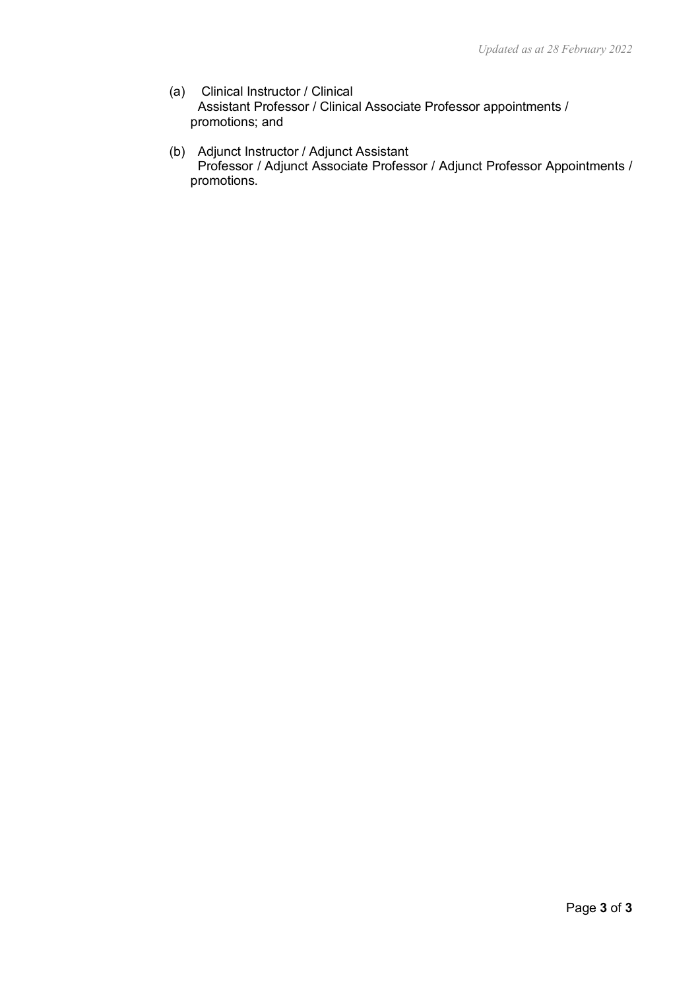- (a) Clinical Instructor / Clinical Assistant Professor / Clinical Associate Professor appointments / promotions; and
- (b) Adjunct Instructor / Adjunct Assistant Professor / Adjunct Associate Professor / Adjunct Professor Appointments / promotions.